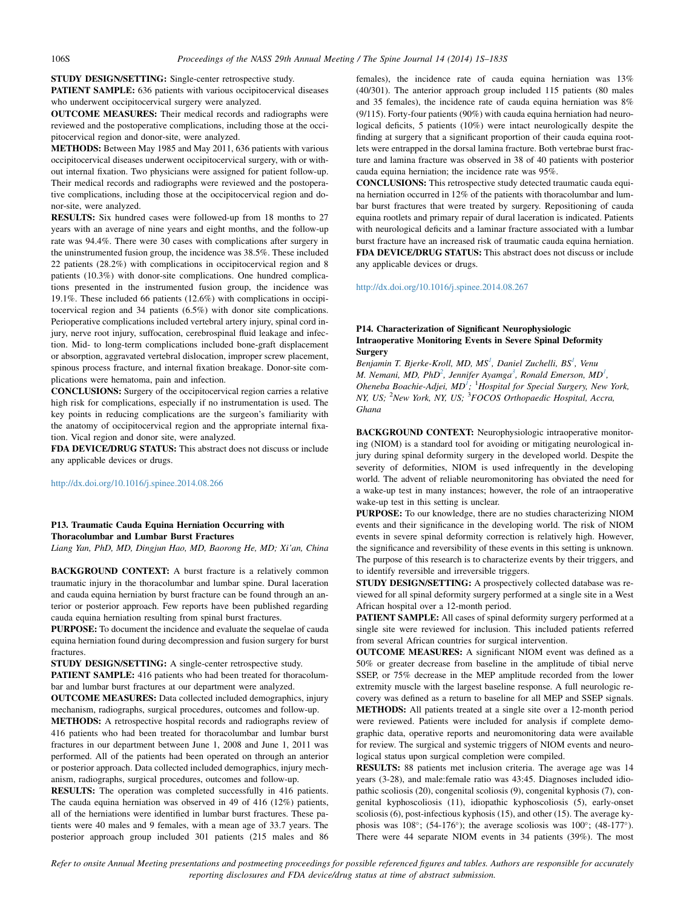STUDY DESIGN/SETTING: Single-center retrospective study.

PATIENT SAMPLE: 636 patients with various occipitocervical diseases who underwent occipitocervical surgery were analyzed.

OUTCOME MEASURES: Their medical records and radiographs were reviewed and the postoperative complications, including those at the occipitocervical region and donor-site, were analyzed.

METHODS: Between May 1985 and May 2011, 636 patients with various occipitocervical diseases underwent occipitocervical surgery, with or without internal fixation. Two physicians were assigned for patient follow-up. Their medical records and radiographs were reviewed and the postoperative complications, including those at the occipitocervical region and donor-site, were analyzed.

RESULTS: Six hundred cases were followed-up from 18 months to 27 years with an average of nine years and eight months, and the follow-up rate was 94.4%. There were 30 cases with complications after surgery in the uninstrumented fusion group, the incidence was 38.5%. These included 22 patients (28.2%) with complications in occipitocervical region and 8 patients (10.3%) with donor-site complications. One hundred complications presented in the instrumented fusion group, the incidence was 19.1%. These included 66 patients (12.6%) with complications in occipitocervical region and 34 patients (6.5%) with donor site complications. Perioperative complications included vertebral artery injury, spinal cord injury, nerve root injury, suffocation, cerebrospinal fluid leakage and infection. Mid- to long-term complications included bone-graft displacement or absorption, aggravated vertebral dislocation, improper screw placement, spinous process fracture, and internal fixation breakage. Donor-site complications were hematoma, pain and infection.

CONCLUSIONS: Surgery of the occipitocervical region carries a relative high risk for complications, especially if no instrumentation is used. The key points in reducing complications are the surgeon's familiarity with the anatomy of occipitocervical region and the appropriate internal fixation. Vical region and donor site, were analyzed.

FDA DEVICE/DRUG STATUS: This abstract does not discuss or include any applicable devices or drugs.

http://dx.doi.org/10.1016/j.spinee.2014.08.266

## P13. Traumatic Cauda Equina Herniation Occurring with Thoracolumbar and Lumbar Burst Fractures

Liang Yan, PhD, MD, Dingjun Hao, MD, Baorong He, MD; Xi'an, China

BACKGROUND CONTEXT: A burst fracture is a relatively common traumatic injury in the thoracolumbar and lumbar spine. Dural laceration and cauda equina herniation by burst fracture can be found through an anterior or posterior approach. Few reports have been published regarding cauda equina herniation resulting from spinal burst fractures.

PURPOSE: To document the incidence and evaluate the sequelae of cauda equina herniation found during decompression and fusion surgery for burst fractures.

STUDY DESIGN/SETTING: A single-center retrospective study. PATIENT SAMPLE: 416 patients who had been treated for thoracolumbar and lumbar burst fractures at our department were analyzed.

OUTCOME MEASURES: Data collected included demographics, injury mechanism, radiographs, surgical procedures, outcomes and follow-up.

METHODS: A retrospective hospital records and radiographs review of 416 patients who had been treated for thoracolumbar and lumbar burst fractures in our department between June 1, 2008 and June 1, 2011 was performed. All of the patients had been operated on through an anterior or posterior approach. Data collected included demographics, injury mechanism, radiographs, surgical procedures, outcomes and follow-up.

RESULTS: The operation was completed successfully in 416 patients. The cauda equina herniation was observed in 49 of 416 (12%) patients, all of the herniations were identified in lumbar burst fractures. These patients were 40 males and 9 females, with a mean age of 33.7 years. The posterior approach group included 301 patients (215 males and 86

females), the incidence rate of cauda equina herniation was 13% (40/301). The anterior approach group included 115 patients (80 males and 35 females), the incidence rate of cauda equina herniation was 8% (9/115). Forty-four patients (90%) with cauda equina herniation had neurological deficits, 5 patients (10%) were intact neurologically despite the finding at surgery that a significant proportion of their cauda equina rootlets were entrapped in the dorsal lamina fracture. Both vertebrae burst fracture and lamina fracture was observed in 38 of 40 patients with posterior cauda equina herniation; the incidence rate was 95%.

CONCLUSIONS: This retrospective study detected traumatic cauda equina herniation occurred in 12% of the patients with thoracolumbar and lumbar burst fractures that were treated by surgery. Repositioning of cauda equina rootlets and primary repair of dural laceration is indicated. Patients with neurological deficits and a laminar fracture associated with a lumbar burst fracture have an increased risk of traumatic cauda equina herniation. FDA DEVICE/DRUG STATUS: This abstract does not discuss or include any applicable devices or drugs.

http://dx.doi.org/10.1016/j.spinee.2014.08.267

## P14. Characterization of Significant Neurophysiologic Intraoperative Monitoring Events in Severe Spinal Deformity **Surgery**

Benjamin T. Bjerke-Kroll, MD, MS<sup>1</sup>, Daniel Zuchelli, BS<sup>1</sup>, Venu M. Nemani, MD, PhD<sup>2</sup>, Jennifer Ayamga<sup>3</sup>, Ronald Emerson, MD<sup>1</sup>, Oheneba Boachie-Adjei,  $MD<sup>1</sup>$ ; <sup>1</sup>Hospital for Special Surgery, New York, NY, US; <sup>2</sup>New York, NY, US; <sup>3</sup>FOCOS Orthopaedic Hospital, Accra, Ghana

BACKGROUND CONTEXT: Neurophysiologic intraoperative monitoring (NIOM) is a standard tool for avoiding or mitigating neurological injury during spinal deformity surgery in the developed world. Despite the severity of deformities, NIOM is used infrequently in the developing world. The advent of reliable neuromonitoring has obviated the need for a wake-up test in many instances; however, the role of an intraoperative wake-up test in this setting is unclear.

PURPOSE: To our knowledge, there are no studies characterizing NIOM events and their significance in the developing world. The risk of NIOM events in severe spinal deformity correction is relatively high. However, the significance and reversibility of these events in this setting is unknown. The purpose of this research is to characterize events by their triggers, and to identify reversible and irreversible triggers.

STUDY DESIGN/SETTING: A prospectively collected database was reviewed for all spinal deformity surgery performed at a single site in a West African hospital over a 12-month period.

PATIENT SAMPLE: All cases of spinal deformity surgery performed at a single site were reviewed for inclusion. This included patients referred from several African countries for surgical intervention.

OUTCOME MEASURES: A significant NIOM event was defined as a 50% or greater decrease from baseline in the amplitude of tibial nerve SSEP, or 75% decrease in the MEP amplitude recorded from the lower extremity muscle with the largest baseline response. A full neurologic recovery was defined as a return to baseline for all MEP and SSEP signals. METHODS: All patients treated at a single site over a 12-month period were reviewed. Patients were included for analysis if complete demographic data, operative reports and neuromonitoring data were available for review. The surgical and systemic triggers of NIOM events and neurological status upon surgical completion were compiled.

RESULTS: 88 patients met inclusion criteria. The average age was 14 years (3-28), and male:female ratio was 43:45. Diagnoses included idiopathic scoliosis (20), congenital scoliosis (9), congenital kyphosis (7), congenital kyphoscoliosis (11), idiopathic kyphoscoliosis (5), early-onset scoliosis (6), post-infectious kyphosis (15), and other (15). The average kyphosis was  $108^{\circ}$ ; (54-176°); the average scoliosis was  $100^{\circ}$ ; (48-177°). There were 44 separate NIOM events in 34 patients (39%). The most

Refer to onsite Annual Meeting presentations and postmeeting proceedings for possible referenced figures and tables. Authors are responsible for accurately reporting disclosures and FDA device/drug status at time of abstract submission.